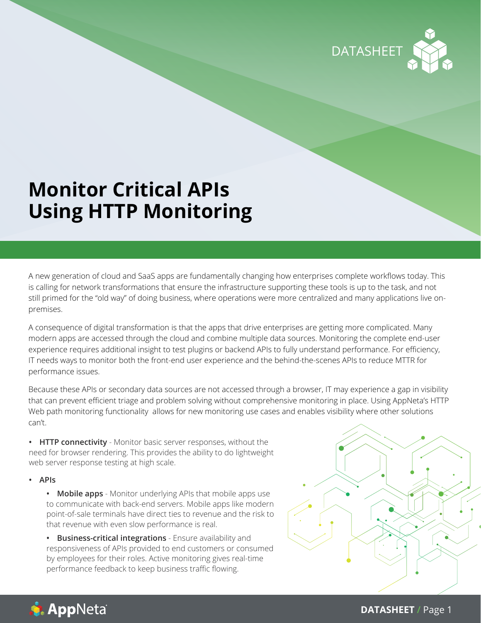

# **Monitor Critical APIs Using HTTP Monitoring**

A new generation of cloud and SaaS apps are fundamentally changing how enterprises complete workflows today. This is calling for network transformations that ensure the infrastructure supporting these tools is up to the task, and not still primed for the "old way" of doing business, where operations were more centralized and many applications live onpremises.

A consequence of digital transformation is that the apps that drive enterprises are getting more complicated. Many modern apps are accessed through the cloud and combine multiple data sources. Monitoring the complete end-user experience requires additional insight to test plugins or backend APIs to fully understand performance. For efficiency, IT needs ways to monitor both the front-end user experience and the behind-the-scenes APIs to reduce MTTR for performance issues.

Because these APIs or secondary data sources are not accessed through a browser, IT may experience a gap in visibility that can prevent efficient triage and problem solving without comprehensive monitoring in place. Using AppNeta's HTTP Web path monitoring functionality allows for new monitoring use cases and enables visibility where other solutions can't.

**• HTTP connectivity** - Monitor basic server responses, without the need for browser rendering. This provides the ability to do lightweight web server response testing at high scale.

**• APIs**

**• Mobile apps** - Monitor underlying APIs that mobile apps use to communicate with back-end servers. Mobile apps like modern point-of-sale terminals have direct ties to revenue and the risk to that revenue with even slow performance is real.

**• Business-critical integrations** - Ensure availability and responsiveness of APIs provided to end customers or consumed by employees for their roles. Active monitoring gives real-time performance feedback to keep business traffic flowing.





**DATASHEET /** Page 1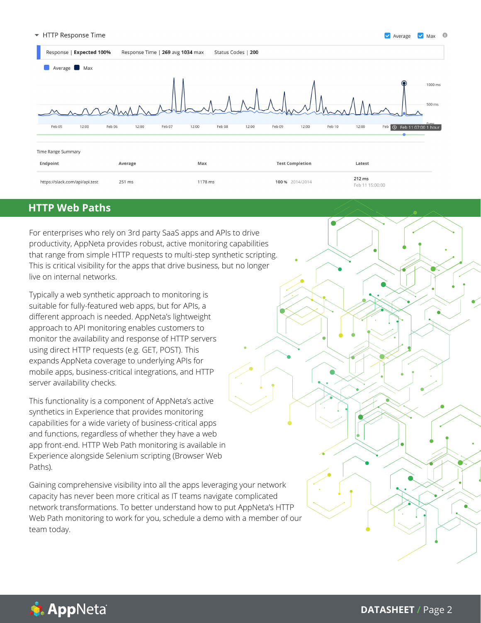#### HTTP Response Time  $\blacktriangledown$



## **HTTP Web Paths**

For enterprises who rely on 3rd party SaaS apps and APIs to drive productivity, AppNeta provides robust, active monitoring capabilities that range from simple HTTP requests to multi-step synthetic scripting. This is critical visibility for the apps that drive business, but no longer live on internal networks.

Typically a web synthetic approach to monitoring is suitable for fully-featured web apps, but for APIs, a different approach is needed. AppNeta's lightweight approach to API monitoring enables customers to monitor the availability and response of HTTP servers using direct HTTP requests (e.g. GET, POST). This expands AppNeta coverage to underlying APIs for mobile apps, business-critical integrations, and HTTP server availability checks.

This functionality is a component of AppNeta's active synthetics in Experience that provides monitoring capabilities for a wide variety of business-critical apps and functions, regardless of whether they have a web app front-end. HTTP Web Path monitoring is available in Experience alongside Selenium scripting (Browser Web Paths).

Gaining comprehensive visibility into all the apps leveraging your network capacity has never been more critical as IT teams navigate complicated network transformations. To better understand how to put AppNeta's HTTP Web Path monitoring to work for you, schedule a demo with a member of our team today.